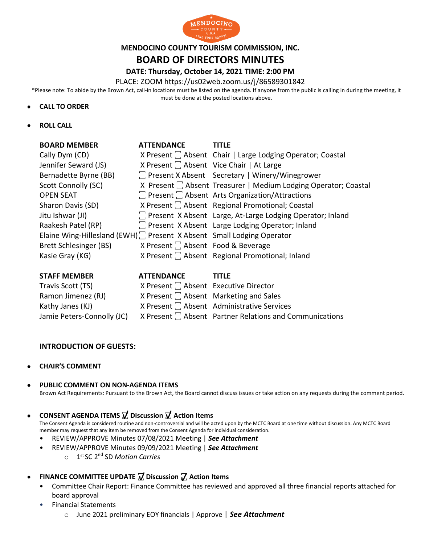

## **MENDOCINO COUNTY TOURISM COMMISSION, INC.**

# **BOARD OF DIRECTORS MINUTES**

## **DATE: Thursday, October 14, 2021 TIME: 2:00 PM**

PLACE: ZOOM https://us02web.zoom.us/j/86589301842

\*Please note: To abide by the Brown Act, call-in locations must be listed on the agenda. If anyone from the public is calling in during the meeting, it must be done at the posted locations above.

#### • **CALL TO ORDER**

• **ROLL CALL**

| <b>BOARD MEMBER</b>                                                    | <b>ATTENDANCE</b>                             | <b>TITLF</b>                                                         |
|------------------------------------------------------------------------|-----------------------------------------------|----------------------------------------------------------------------|
| Cally Dym (CD)                                                         |                                               | X Present  Chair   Large Lodging Operator; Coastal                   |
| Jennifer Seward (JS)                                                   |                                               | X Present [ Absent Vice Chair   At Large                             |
| Bernadette Byrne (BB)                                                  |                                               | □ Present X Absent Secretary   Winery/Winegrower                     |
| Scott Connolly (SC)                                                    |                                               | X Present $\Box$ Absent Treasurer   Medium Lodging Operator; Coastal |
| OPEN SEAT                                                              |                                               | Present Absent Arts Organization/Attractions                         |
| Sharon Davis (SD)                                                      |                                               | X Present $\Box$ Absent Regional Promotional; Coastal                |
| Jitu Ishwar (JI)                                                       |                                               | 7 Present X Absent Large, At-Large Lodging Operator; Inland          |
| Raakesh Patel (RP)                                                     |                                               | T Present X Absent Large Lodging Operator; Inland                    |
| Elaine Wing-Hillesland (EWH) : Present X Absent Small Lodging Operator |                                               |                                                                      |
| Brett Schlesinger (BS)                                                 | X Present <sup>1</sup> Absent Food & Beverage |                                                                      |
| Kasie Gray (KG)                                                        |                                               | X Present   Absent Regional Promotional; Inland                      |
|                                                                        |                                               |                                                                      |

| <b>STAFF MEMBER</b>        | <b>ATTENDANCE</b>                          | TITLF                                                        |
|----------------------------|--------------------------------------------|--------------------------------------------------------------|
| Travis Scott (TS)          | X Present $\Box$ Absent Executive Director |                                                              |
| Ramon Jimenez (RJ)         |                                            | X Present $\Box$ Absent Marketing and Sales                  |
| Kathy Janes (KJ)           |                                            | X Present   Absent Administrative Services                   |
| Jamie Peters-Connolly (JC) |                                            | X Present $\Box$ Absent Partner Relations and Communications |

#### **INTRODUCTION OF GUESTS:**

- **CHAIR'S COMMENT**
- **PUBLIC COMMENT ON NON-AGENDA ITEMS** Brown Act Requirements: Pursuant to the Brown Act, the Board cannot discuss issues or take action on any requests during the comment period.
- **CONSENT AGENDA ITEMS ꙱ Discussion ꙱ Action Items**

The Consent Agenda is considered routine and non-controversial and will be acted upon by the MCTC Board at one time without discussion. Any MCTC Board member may request that any item be removed from the Consent Agenda for individual consideration.

- REVIEW/APPROVE Minutes 07/08/2021 Meeting | *See Attachment*
- REVIEW/APPROVE Minutes 09/09/2021 Meeting | *See Attachment*
	- o 1 st SC 2nd SD *Motion Carries*
- FINANCE COMMITTEE UPDATE **7** Discussion 7 Action Items
	- Committee Chair Report: Finance Committee has reviewed and approved all three financial reports attached for board approval
	- Financial Statements
		- o June 2021 preliminary EOY financials | Approve | *See Attachment* m i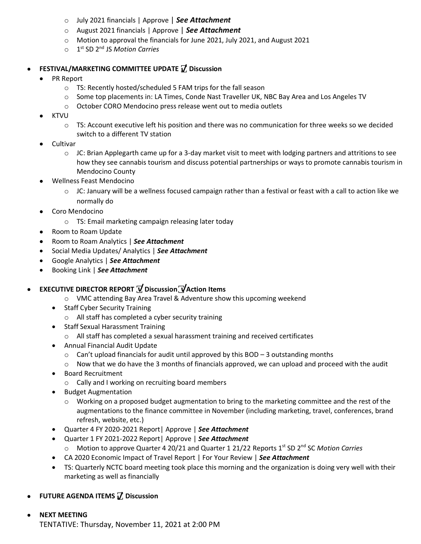- o July 2021 financials | Approve | *See Attachment*
- o August 2021 financials | Approve | *See Attachment*
- $\circ$  Motion to approval the financials for June 2021, July 2021, and August 2021
- o 1 st SD 2nd JS *Motion Carries*

# • **FESTIVAL/MARKETING COMMITTEE UPDATE ꙱ Discussion**

- PR Report
	- o TS: Recently hosted/scheduled 5 FAM trips for the fall season
	- o Some top placements in: LA Times, Conde Nast Traveller UK, NBC Bay Area and Los Angeles TV
	- o October CORO Mendocino press release went out to media outlets
- KTVU
	- o TS: Account executive left his position and there was no communication for three weeks so we decided switch to a different TV station
- Cultivar
	- $\circ$  JC: Brian Applegarth came up for a 3-day market visit to meet with lodging partners and attritions to see how they see cannabis tourism and discuss potential partnerships or ways to promote cannabis tourism in Mendocino County
- Wellness Feast Mendocino
	- $\circ$  JC: January will be a wellness focused campaign rather than a festival or feast with a call to action like we normally do
- Coro Mendocino
	- o TS: Email marketing campaign releasing later today
- Room to Roam Update
- Room to Roam Analytics | *See Attachment*
- Social Media Updates/ Analytics | *See Attachment*
- Google Analytics | *See Attachment*
- Booking Link | *See Attachment*
- **EXECUTIVE DIRECTOR REPORT ꙱ Discussion꙱ Action Items**
	- o VMC attending Bay Area Travel & Adventure show this upcoming weekend
	- Staff Cyber Security Training
		- o All staff has completed a cyber security training
	- Staff Sexual Harassment Training
		- o All staff has completed a sexual harassment training and received certificates
	- Annual Financial Audit Update
		- $\circ$  Can't upload financials for audit until approved by this BOD 3 outstanding months
		- $\circ$  Now that we do have the 3 months of financials approved, we can upload and proceed with the audit
	- Board Recruitment
		- o Cally and I working on recruiting board members
	- Budget Augmentation
		- $\circ$  Working on a proposed budget augmentation to bring to the marketing committee and the rest of the augmentations to the finance committee in November (including marketing, travel, conferences, brand refresh, website, etc.)
	- Quarter 4 FY 2020-2021 Report| Approve | *See Attachment*
	- Quarter 1 FY 2021-2022 Report| Approve | *See Attachment*
		- o Motion to approve Quarter 4 20/21 and Quarter 1 21/22 Reports 1<sup>st</sup> SD 2<sup>nd</sup> SC Motion Carries
	- CA 2020 Economic Impact of Travel Report | For Your Review | *See Attachment*
	- TS: Quarterly NCTC board meeting took place this morning and the organization is doing very well with their marketing as well as financially
- **FUTURE AGENDA ITEMS** *I*, Discussion
- **NEXT MEETING** TENTATIVE: Thursday, November 11, 2021 at 2:00 PM